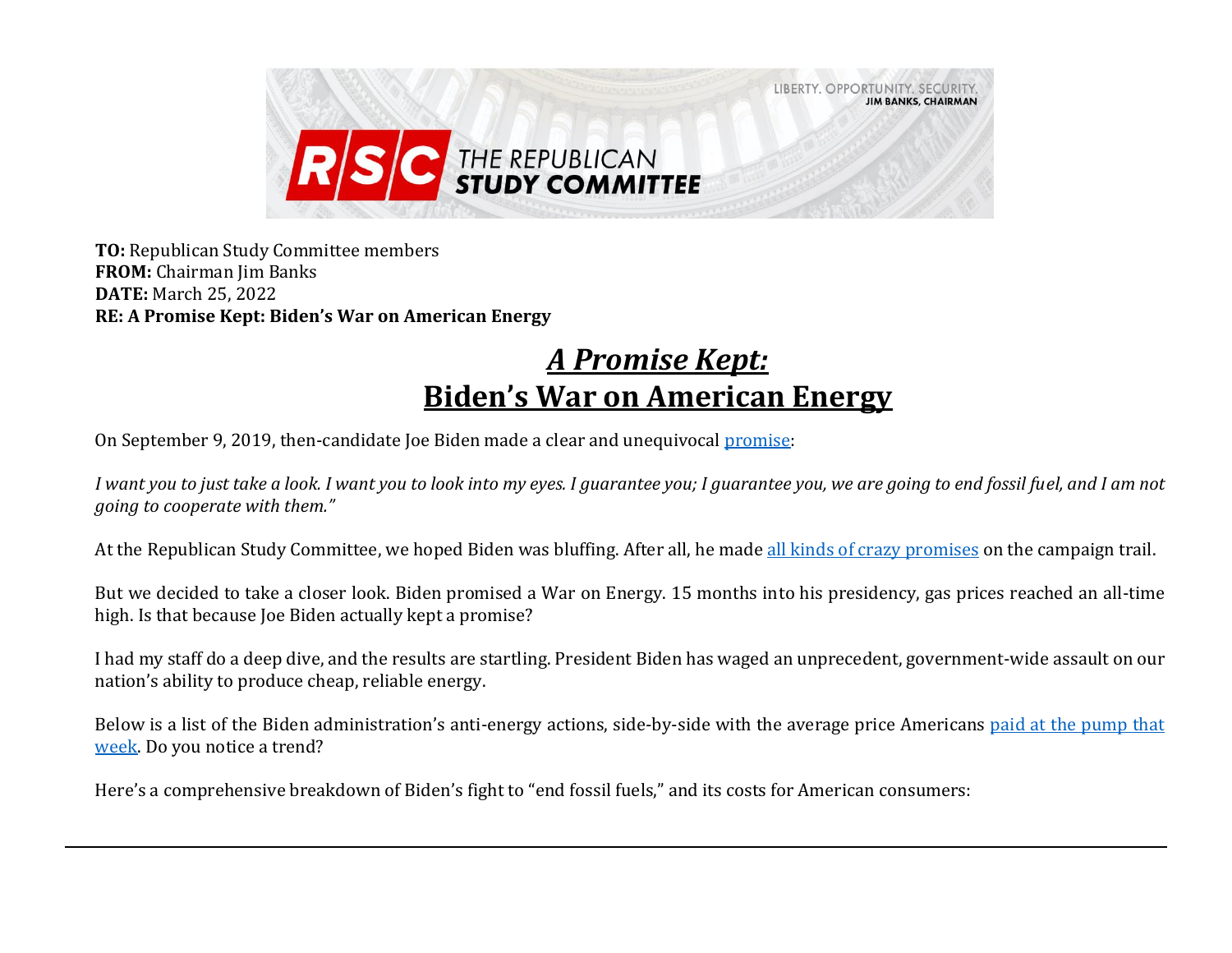

**TO:** Republican Study Committee members **FROM:** Chairman Jim Banks **DATE:** March 25, 2022 **RE: A Promise Kept: Biden's War on American Energy**

## *A Promise Kept:* **Biden's War on American Energy**

On September 9, 2019, then-candidate Joe Biden made a clear and unequivocal [promise:](https://www.breitbart.com/politics/2019/09/07/joe-biden-promises-environmentalist-look-into-my-eyes-i-guarantee-you-we-are-going-to-end-fossil-fuel/)

*I want you to just take a look. I want you to look into my eyes. I guarantee you; I guarantee you, we are going to end fossil fuel, and I am not going to cooperate with them."*

At the Republican Study Committee, we hoped Biden was bluffing. After all, he made [all kinds of crazy promises](https://www.youtube.com/watch?v=ce9_pVL37nw) on the campaign trail.

But we decided to take a closer look. Biden promised a War on Energy. 15 months into his presidency, gas prices reached an all-time high. Is that because Joe Biden actually kept a promise?

I had my staff do a deep dive, and the results are startling. President Biden has waged an unprecedent, government-wide assault on our nation's ability to produce cheap, reliable energy.

Below is a list of the Biden administration's anti-energy actions, side-by-side with the average price Americans [paid at the pump that](https://www.eia.gov/dnav/pet/hist/LeafHandler.ashx?n=pet&s=emm_epm0_pte_nus_dpg&f=w)  [week.](https://www.eia.gov/dnav/pet/hist/LeafHandler.ashx?n=pet&s=emm_epm0_pte_nus_dpg&f=w) Do you notice a trend?

Here's a comprehensive breakdown of Biden's fight to "end fossil fuels," and its costs for American consumers: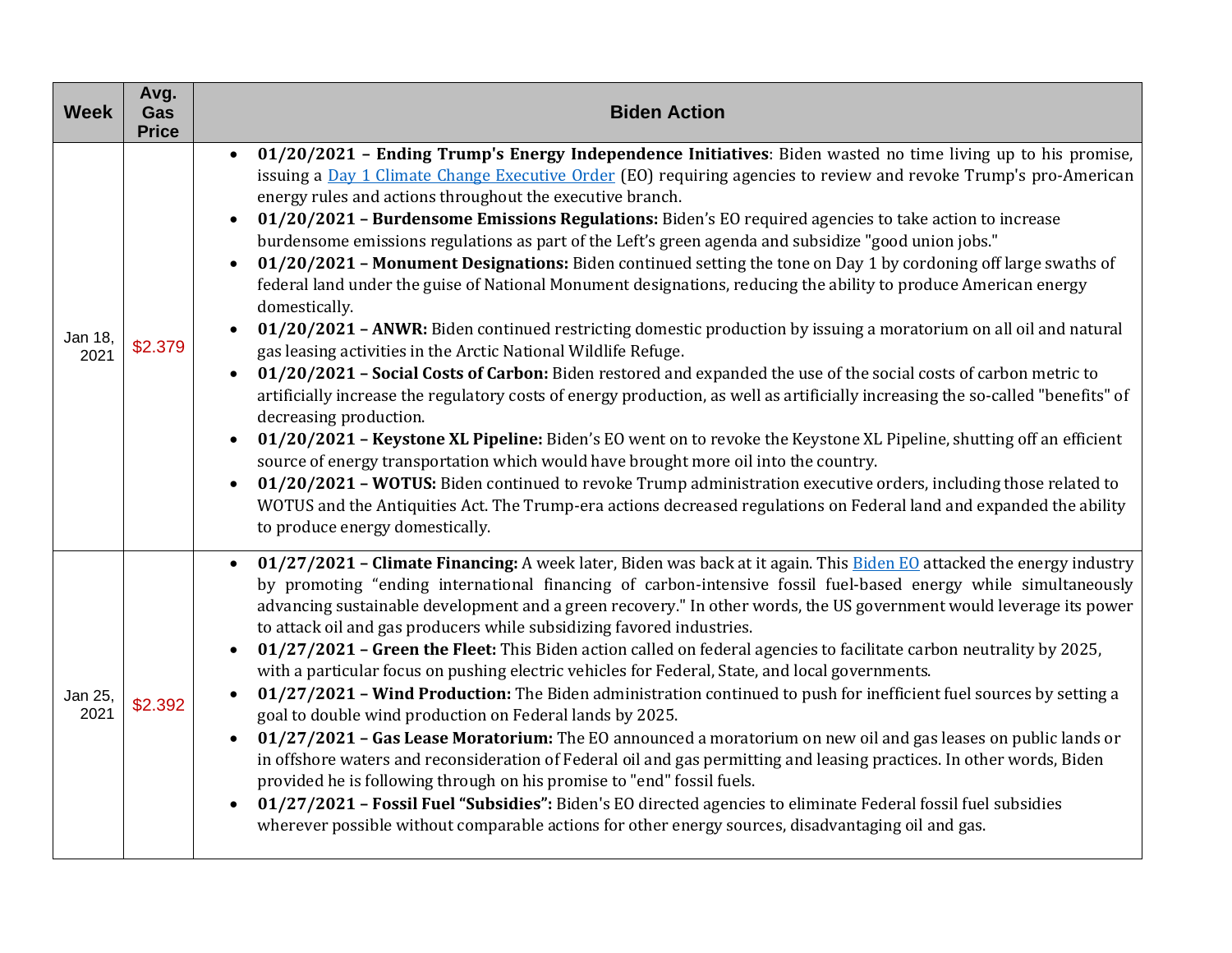| <b>Week</b>     | Avg.<br>Gas<br><b>Price</b> | <b>Biden Action</b>                                                                                                                                                                                                                                                                                                                                                                                                                                                                                                                                                                                                                                                                                                                                                                                                                                                                                                                                                                                                                                                                                                                                                                                                                                                                                                                                                                                                                                                                                                                                                                                                                                                                                                                                                                         |
|-----------------|-----------------------------|---------------------------------------------------------------------------------------------------------------------------------------------------------------------------------------------------------------------------------------------------------------------------------------------------------------------------------------------------------------------------------------------------------------------------------------------------------------------------------------------------------------------------------------------------------------------------------------------------------------------------------------------------------------------------------------------------------------------------------------------------------------------------------------------------------------------------------------------------------------------------------------------------------------------------------------------------------------------------------------------------------------------------------------------------------------------------------------------------------------------------------------------------------------------------------------------------------------------------------------------------------------------------------------------------------------------------------------------------------------------------------------------------------------------------------------------------------------------------------------------------------------------------------------------------------------------------------------------------------------------------------------------------------------------------------------------------------------------------------------------------------------------------------------------|
| Jan 18,<br>2021 | \$2.379                     | 01/20/2021 - Ending Trump's Energy Independence Initiatives: Biden wasted no time living up to his promise,<br>$\bullet$<br>issuing a Day 1 Climate Change Executive Order (EO) requiring agencies to review and revoke Trump's pro-American<br>energy rules and actions throughout the executive branch.<br>01/20/2021 - Burdensome Emissions Regulations: Biden's EO required agencies to take action to increase<br>$\bullet$<br>burdensome emissions regulations as part of the Left's green agenda and subsidize "good union jobs."<br>01/20/2021 - Monument Designations: Biden continued setting the tone on Day 1 by cordoning off large swaths of<br>$\bullet$<br>federal land under the guise of National Monument designations, reducing the ability to produce American energy<br>domestically.<br>01/20/2021 - ANWR: Biden continued restricting domestic production by issuing a moratorium on all oil and natural<br>gas leasing activities in the Arctic National Wildlife Refuge.<br>01/20/2021 - Social Costs of Carbon: Biden restored and expanded the use of the social costs of carbon metric to<br>artificially increase the regulatory costs of energy production, as well as artificially increasing the so-called "benefits" of<br>decreasing production.<br>01/20/2021 - Keystone XL Pipeline: Biden's EO went on to revoke the Keystone XL Pipeline, shutting off an efficient<br>$\bullet$<br>source of energy transportation which would have brought more oil into the country.<br>01/20/2021 - WOTUS: Biden continued to revoke Trump administration executive orders, including those related to<br>WOTUS and the Antiquities Act. The Trump-era actions decreased regulations on Federal land and expanded the ability<br>to produce energy domestically. |
| Jan 25,<br>2021 | \$2.392                     | 01/27/2021 - Climate Financing: A week later, Biden was back at it again. This Biden EO attacked the energy industry<br>$\bullet$<br>by promoting "ending international financing of carbon-intensive fossil fuel-based energy while simultaneously<br>advancing sustainable development and a green recovery." In other words, the US government would leverage its power<br>to attack oil and gas producers while subsidizing favored industries.<br>01/27/2021 - Green the Fleet: This Biden action called on federal agencies to facilitate carbon neutrality by 2025,<br>$\bullet$<br>with a particular focus on pushing electric vehicles for Federal, State, and local governments.<br>01/27/2021 - Wind Production: The Biden administration continued to push for inefficient fuel sources by setting a<br>goal to double wind production on Federal lands by 2025.<br>01/27/2021 - Gas Lease Moratorium: The EO announced a moratorium on new oil and gas leases on public lands or<br>$\bullet$<br>in offshore waters and reconsideration of Federal oil and gas permitting and leasing practices. In other words, Biden<br>provided he is following through on his promise to "end" fossil fuels.<br>01/27/2021 - Fossil Fuel "Subsidies": Biden's EO directed agencies to eliminate Federal fossil fuel subsidies<br>$\bullet$<br>wherever possible without comparable actions for other energy sources, disadvantaging oil and gas.                                                                                                                                                                                                                                                                                                                                           |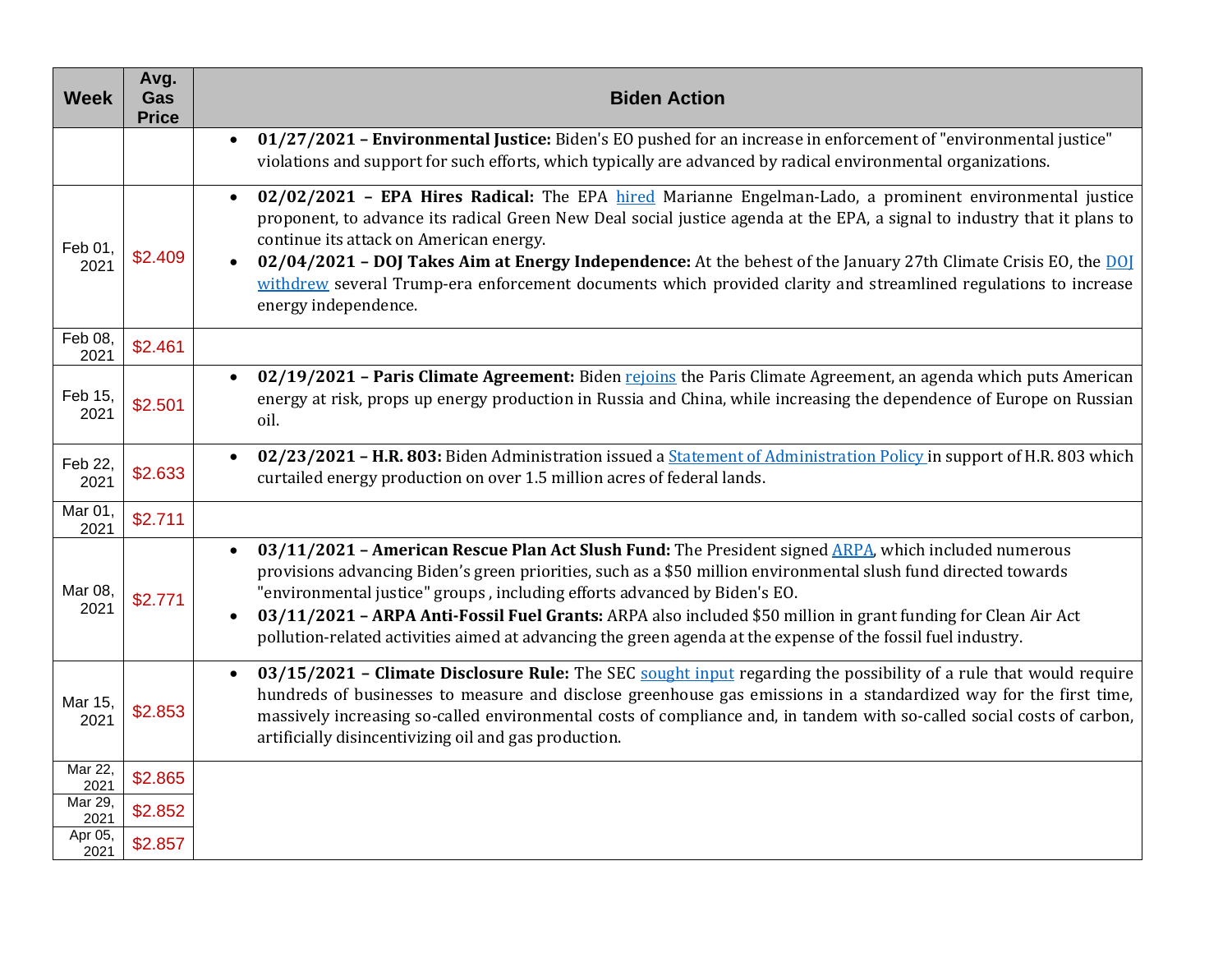| <b>Week</b>     | Avg.<br>Gas<br><b>Price</b> | <b>Biden Action</b>                                                                                                                                                                                                                                                                                                                                                                                                                                                                                                                                             |
|-----------------|-----------------------------|-----------------------------------------------------------------------------------------------------------------------------------------------------------------------------------------------------------------------------------------------------------------------------------------------------------------------------------------------------------------------------------------------------------------------------------------------------------------------------------------------------------------------------------------------------------------|
|                 |                             | 01/27/2021 - Environmental Justice: Biden's EO pushed for an increase in enforcement of "environmental justice"<br>violations and support for such efforts, which typically are advanced by radical environmental organizations.                                                                                                                                                                                                                                                                                                                                |
| Feb 01,<br>2021 | \$2.409                     | 02/02/2021 - EPA Hires Radical: The EPA hired Marianne Engelman-Lado, a prominent environmental justice<br>$\bullet$<br>proponent, to advance its radical Green New Deal social justice agenda at the EPA, a signal to industry that it plans to<br>continue its attack on American energy.<br>02/04/2021 - DOJ Takes Aim at Energy Independence: At the behest of the January 27th Climate Crisis EO, the DOJ<br>withdrew several Trump-era enforcement documents which provided clarity and streamlined regulations to increase<br>energy independence.       |
| Feb 08.<br>2021 | \$2.461                     |                                                                                                                                                                                                                                                                                                                                                                                                                                                                                                                                                                 |
| Feb 15,<br>2021 | \$2.501                     | 02/19/2021 - Paris Climate Agreement: Biden rejoins the Paris Climate Agreement, an agenda which puts American<br>energy at risk, props up energy production in Russia and China, while increasing the dependence of Europe on Russian<br>oil.                                                                                                                                                                                                                                                                                                                  |
| Feb 22,<br>2021 | \$2.633                     | 02/23/2021 - H.R. 803: Biden Administration issued a <b>Statement of Administration Policy</b> in support of H.R. 803 which<br>$\bullet$<br>curtailed energy production on over 1.5 million acres of federal lands.                                                                                                                                                                                                                                                                                                                                             |
| Mar 01,<br>2021 | \$2.711                     |                                                                                                                                                                                                                                                                                                                                                                                                                                                                                                                                                                 |
| Mar 08,<br>2021 | \$2.771                     | 03/11/2021 - American Rescue Plan Act Slush Fund: The President signed ARPA, which included numerous<br>$\bullet$<br>provisions advancing Biden's green priorities, such as a \$50 million environmental slush fund directed towards<br>"environmental justice" groups, including efforts advanced by Biden's EO.<br>03/11/2021 - ARPA Anti-Fossil Fuel Grants: ARPA also included \$50 million in grant funding for Clean Air Act<br>$\bullet$<br>pollution-related activities aimed at advancing the green agenda at the expense of the fossil fuel industry. |
| Mar 15,<br>2021 | \$2.853                     | 03/15/2021 - Climate Disclosure Rule: The SEC sought input regarding the possibility of a rule that would require<br>$\bullet$<br>hundreds of businesses to measure and disclose greenhouse gas emissions in a standardized way for the first time,<br>massively increasing so-called environmental costs of compliance and, in tandem with so-called social costs of carbon,<br>artificially disincentivizing oil and gas production.                                                                                                                          |
| Mar 22,<br>2021 | \$2.865                     |                                                                                                                                                                                                                                                                                                                                                                                                                                                                                                                                                                 |
| Mar 29,<br>2021 | \$2.852                     |                                                                                                                                                                                                                                                                                                                                                                                                                                                                                                                                                                 |
| Apr 05,<br>2021 | \$2.857                     |                                                                                                                                                                                                                                                                                                                                                                                                                                                                                                                                                                 |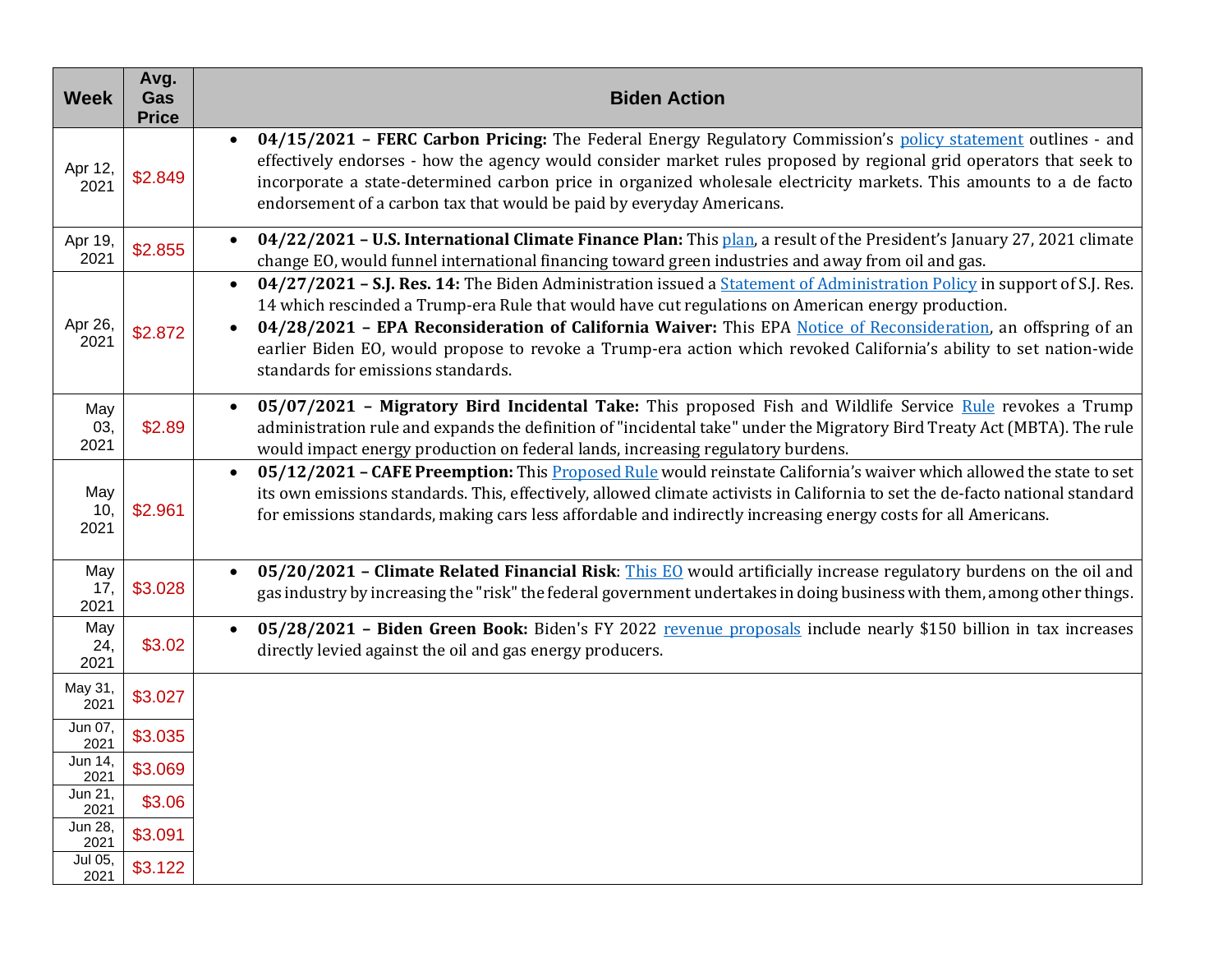| <b>Week</b>        | Avg.<br>Gas<br><b>Price</b> | <b>Biden Action</b>                                                                                                                                                                                                                                                                                                                                                                                                                                                                                               |
|--------------------|-----------------------------|-------------------------------------------------------------------------------------------------------------------------------------------------------------------------------------------------------------------------------------------------------------------------------------------------------------------------------------------------------------------------------------------------------------------------------------------------------------------------------------------------------------------|
| Apr 12,<br>2021    | \$2.849                     | 04/15/2021 - FERC Carbon Pricing: The Federal Energy Regulatory Commission's policy statement outlines - and<br>$\bullet$<br>effectively endorses - how the agency would consider market rules proposed by regional grid operators that seek to<br>incorporate a state-determined carbon price in organized wholesale electricity markets. This amounts to a de facto<br>endorsement of a carbon tax that would be paid by everyday Americans.                                                                    |
| Apr 19,<br>2021    | \$2.855                     | 04/22/2021 - U.S. International Climate Finance Plan: This plan, a result of the President's January 27, 2021 climate<br>change EO, would funnel international financing toward green industries and away from oil and gas.                                                                                                                                                                                                                                                                                       |
| Apr 26,<br>2021    | \$2.872                     | 04/27/2021 - S.J. Res. 14: The Biden Administration issued a <b>Statement of Administration Policy</b> in support of S.J. Res.<br>14 which rescinded a Trump-era Rule that would have cut regulations on American energy production.<br>04/28/2021 - EPA Reconsideration of California Waiver: This EPA Notice of Reconsideration, an offspring of an<br>earlier Biden EO, would propose to revoke a Trump-era action which revoked California's ability to set nation-wide<br>standards for emissions standards. |
| May<br>03,<br>2021 | \$2.89                      | 05/07/2021 - Migratory Bird Incidental Take: This proposed Fish and Wildlife Service Rule revokes a Trump<br>$\bullet$<br>administration rule and expands the definition of "incidental take" under the Migratory Bird Treaty Act (MBTA). The rule<br>would impact energy production on federal lands, increasing regulatory burdens.                                                                                                                                                                             |
| May<br>10,<br>2021 | \$2.961                     | 05/12/2021 - CAFE Preemption: This Proposed Rule would reinstate California's waiver which allowed the state to set<br>its own emissions standards. This, effectively, allowed climate activists in California to set the de-facto national standard<br>for emissions standards, making cars less affordable and indirectly increasing energy costs for all Americans.                                                                                                                                            |
| May<br>17,<br>2021 | \$3.028                     | 05/20/2021 - Climate Related Financial Risk: This EQ would artificially increase regulatory burdens on the oil and<br>$\bullet$<br>gas industry by increasing the "risk" the federal government undertakes in doing business with them, among other things.                                                                                                                                                                                                                                                       |
| May<br>24,<br>2021 | \$3.02                      | 05/28/2021 - Biden Green Book: Biden's FY 2022 revenue proposals include nearly \$150 billion in tax increases<br>$\bullet$<br>directly levied against the oil and gas energy producers.                                                                                                                                                                                                                                                                                                                          |
| May 31,<br>2021    | \$3.027                     |                                                                                                                                                                                                                                                                                                                                                                                                                                                                                                                   |
| Jun 07,<br>2021    | \$3.035                     |                                                                                                                                                                                                                                                                                                                                                                                                                                                                                                                   |
| Jun 14,<br>2021    | \$3.069                     |                                                                                                                                                                                                                                                                                                                                                                                                                                                                                                                   |
| Jun 21,<br>2021    | \$3.06                      |                                                                                                                                                                                                                                                                                                                                                                                                                                                                                                                   |
| Jun 28,<br>2021    | \$3.091                     |                                                                                                                                                                                                                                                                                                                                                                                                                                                                                                                   |
| Jul 05,<br>2021    | \$3.122                     |                                                                                                                                                                                                                                                                                                                                                                                                                                                                                                                   |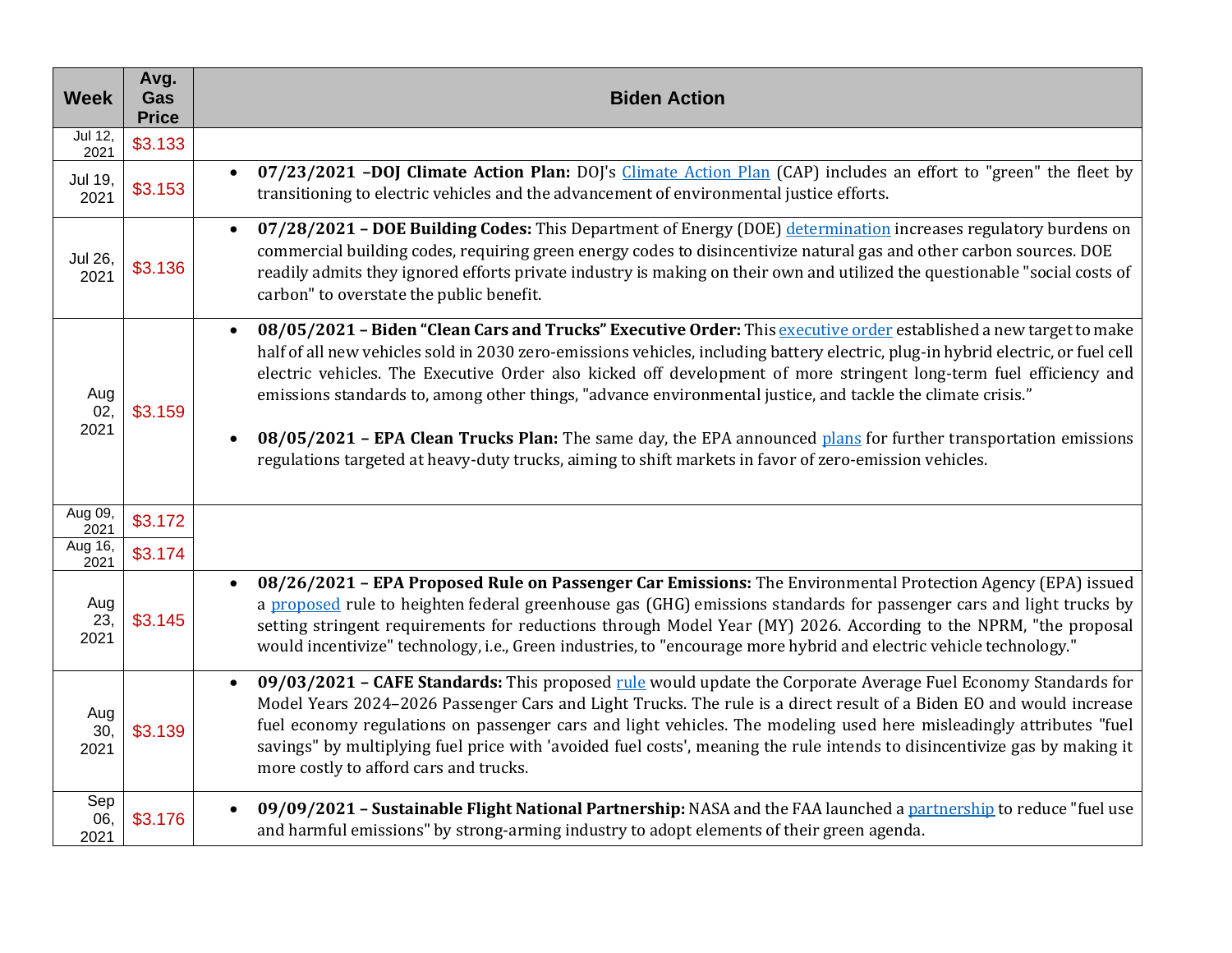| <b>Week</b>        | Avg.<br>Gas<br><b>Price</b> | <b>Biden Action</b>                                                                                                                                                                                                                                                                                                                                                                                                                                                                                                                                                                                                                                                                                                    |
|--------------------|-----------------------------|------------------------------------------------------------------------------------------------------------------------------------------------------------------------------------------------------------------------------------------------------------------------------------------------------------------------------------------------------------------------------------------------------------------------------------------------------------------------------------------------------------------------------------------------------------------------------------------------------------------------------------------------------------------------------------------------------------------------|
| Jul 12,<br>2021    | \$3.133                     |                                                                                                                                                                                                                                                                                                                                                                                                                                                                                                                                                                                                                                                                                                                        |
| Jul 19,<br>2021    | \$3.153                     | 07/23/2021 -DOJ Climate Action Plan: DOJ's Climate Action Plan (CAP) includes an effort to "green" the fleet by<br>transitioning to electric vehicles and the advancement of environmental justice efforts.                                                                                                                                                                                                                                                                                                                                                                                                                                                                                                            |
| Jul 26,<br>2021    | \$3.136                     | 07/28/2021 - DOE Building Codes: This Department of Energy (DOE) determination increases regulatory burdens on<br>$\bullet$<br>commercial building codes, requiring green energy codes to disincentivize natural gas and other carbon sources. DOE<br>readily admits they ignored efforts private industry is making on their own and utilized the questionable "social costs of<br>carbon" to overstate the public benefit.                                                                                                                                                                                                                                                                                           |
| Aug<br>02,<br>2021 | \$3.159                     | 08/05/2021 - Biden "Clean Cars and Trucks" Executive Order: This executive order established a new target to make<br>half of all new vehicles sold in 2030 zero-emissions vehicles, including battery electric, plug-in hybrid electric, or fuel cell<br>electric vehicles. The Executive Order also kicked off development of more stringent long-term fuel efficiency and<br>emissions standards to, among other things, "advance environmental justice, and tackle the climate crisis."<br>08/05/2021 - EPA Clean Trucks Plan: The same day, the EPA announced plans for further transportation emissions<br>regulations targeted at heavy-duty trucks, aiming to shift markets in favor of zero-emission vehicles. |
| Aug 09,<br>2021    | \$3.172                     |                                                                                                                                                                                                                                                                                                                                                                                                                                                                                                                                                                                                                                                                                                                        |
| Aug 16,<br>2021    | \$3.174                     |                                                                                                                                                                                                                                                                                                                                                                                                                                                                                                                                                                                                                                                                                                                        |
| Aug<br>23,<br>2021 | \$3.145                     | 08/26/2021 - EPA Proposed Rule on Passenger Car Emissions: The Environmental Protection Agency (EPA) issued<br>$\bullet$<br>a proposed rule to heighten federal greenhouse gas (GHG) emissions standards for passenger cars and light trucks by<br>setting stringent requirements for reductions through Model Year (MY) 2026. According to the NPRM, "the proposal<br>would incentivize" technology, i.e., Green industries, to "encourage more hybrid and electric vehicle technology."                                                                                                                                                                                                                              |
| Aug<br>30,<br>2021 | \$3.139                     | 09/03/2021 - CAFE Standards: This proposed rule would update the Corporate Average Fuel Economy Standards for<br>$\bullet$<br>Model Years 2024-2026 Passenger Cars and Light Trucks. The rule is a direct result of a Biden EO and would increase<br>fuel economy regulations on passenger cars and light vehicles. The modeling used here misleadingly attributes "fuel<br>savings" by multiplying fuel price with 'avoided fuel costs', meaning the rule intends to disincentivize gas by making it<br>more costly to afford cars and trucks.                                                                                                                                                                        |
| Sep<br>06,<br>2021 | \$3.176                     | 09/09/2021 - Sustainable Flight National Partnership: NASA and the FAA launched a partnership to reduce "fuel use<br>and harmful emissions" by strong-arming industry to adopt elements of their green agenda.                                                                                                                                                                                                                                                                                                                                                                                                                                                                                                         |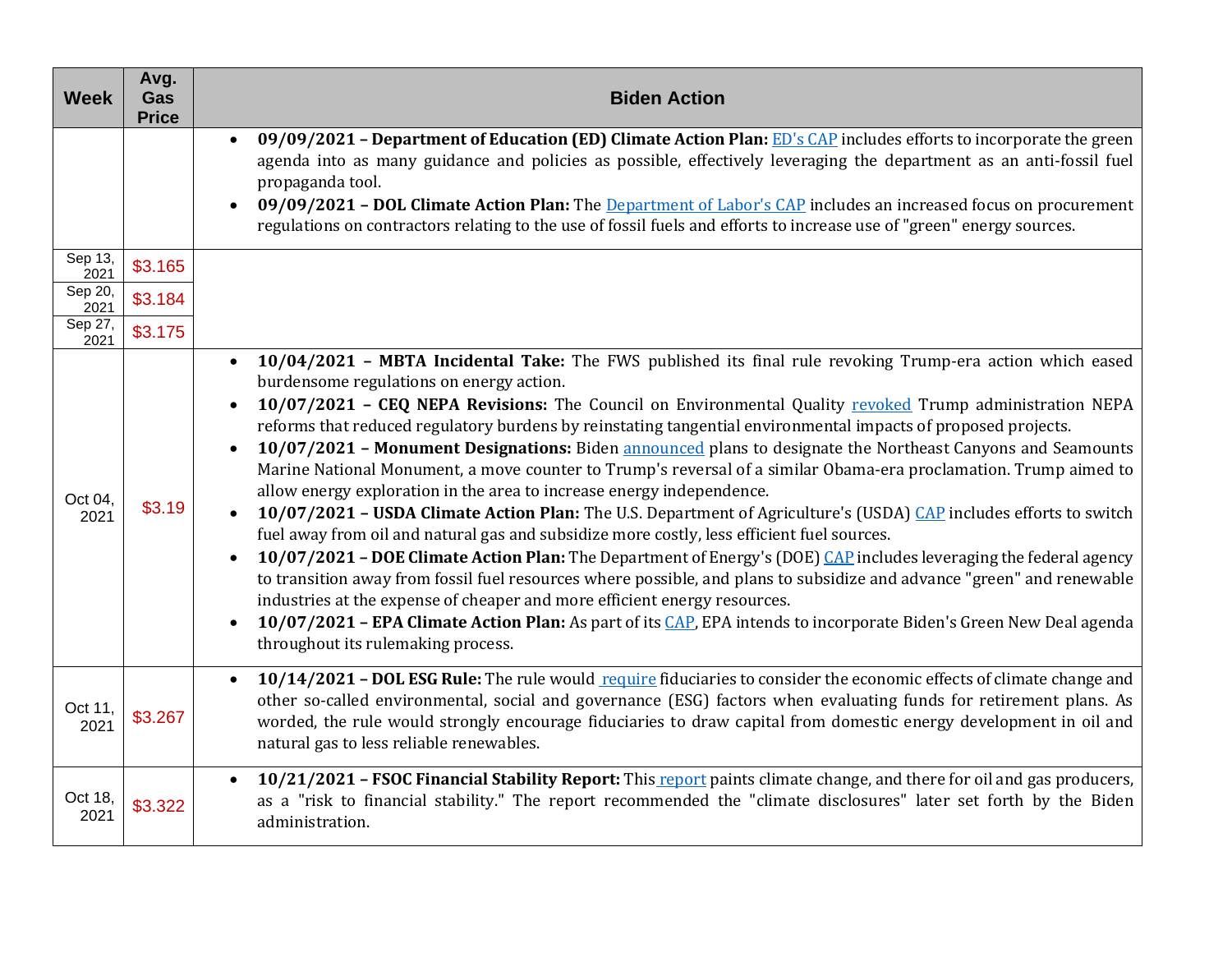| <b>Week</b>     | Avg.<br>Gas<br><b>Price</b> | <b>Biden Action</b>                                                                                                                                                                                                                                                                                                                                                                                                                                                                                                                                                                                                                                                                                                                                                                                                                                                                                                                                                                                                                                                                                                                                                                                                                                                                                                                                                                                                  |
|-----------------|-----------------------------|----------------------------------------------------------------------------------------------------------------------------------------------------------------------------------------------------------------------------------------------------------------------------------------------------------------------------------------------------------------------------------------------------------------------------------------------------------------------------------------------------------------------------------------------------------------------------------------------------------------------------------------------------------------------------------------------------------------------------------------------------------------------------------------------------------------------------------------------------------------------------------------------------------------------------------------------------------------------------------------------------------------------------------------------------------------------------------------------------------------------------------------------------------------------------------------------------------------------------------------------------------------------------------------------------------------------------------------------------------------------------------------------------------------------|
|                 |                             | 09/09/2021 - Department of Education (ED) Climate Action Plan: ED's CAP includes efforts to incorporate the green<br>agenda into as many guidance and policies as possible, effectively leveraging the department as an anti-fossil fuel<br>propaganda tool.<br>09/09/2021 - DOL Climate Action Plan: The Department of Labor's CAP includes an increased focus on procurement<br>regulations on contractors relating to the use of fossil fuels and efforts to increase use of "green" energy sources.                                                                                                                                                                                                                                                                                                                                                                                                                                                                                                                                                                                                                                                                                                                                                                                                                                                                                                              |
| Sep 13,<br>2021 | \$3.165                     |                                                                                                                                                                                                                                                                                                                                                                                                                                                                                                                                                                                                                                                                                                                                                                                                                                                                                                                                                                                                                                                                                                                                                                                                                                                                                                                                                                                                                      |
| Sep 20,<br>2021 | \$3.184                     |                                                                                                                                                                                                                                                                                                                                                                                                                                                                                                                                                                                                                                                                                                                                                                                                                                                                                                                                                                                                                                                                                                                                                                                                                                                                                                                                                                                                                      |
| Sep 27,<br>2021 | \$3.175                     |                                                                                                                                                                                                                                                                                                                                                                                                                                                                                                                                                                                                                                                                                                                                                                                                                                                                                                                                                                                                                                                                                                                                                                                                                                                                                                                                                                                                                      |
| Oct 04,<br>2021 | \$3.19                      | 10/04/2021 - MBTA Incidental Take: The FWS published its final rule revoking Trump-era action which eased<br>$\bullet$<br>burdensome regulations on energy action.<br>10/07/2021 - CEQ NEPA Revisions: The Council on Environmental Quality revoked Trump administration NEPA<br>reforms that reduced regulatory burdens by reinstating tangential environmental impacts of proposed projects.<br>10/07/2021 - Monument Designations: Biden announced plans to designate the Northeast Canyons and Seamounts<br>Marine National Monument, a move counter to Trump's reversal of a similar Obama-era proclamation. Trump aimed to<br>allow energy exploration in the area to increase energy independence.<br>10/07/2021 – USDA Climate Action Plan: The U.S. Department of Agriculture's (USDA) CAP includes efforts to switch<br>fuel away from oil and natural gas and subsidize more costly, less efficient fuel sources.<br>10/07/2021 - DOE Climate Action Plan: The Department of Energy's (DOE) CAP includes leveraging the federal agency<br>to transition away from fossil fuel resources where possible, and plans to subsidize and advance "green" and renewable<br>industries at the expense of cheaper and more efficient energy resources.<br>10/07/2021 - EPA Climate Action Plan: As part of its CAP, EPA intends to incorporate Biden's Green New Deal agenda<br>throughout its rulemaking process. |
| Oct 11,<br>2021 | \$3.267                     | 10/14/2021 - DOL ESG Rule: The rule would require fiduciaries to consider the economic effects of climate change and<br>other so-called environmental, social and governance (ESG) factors when evaluating funds for retirement plans. As<br>worded, the rule would strongly encourage fiduciaries to draw capital from domestic energy development in oil and<br>natural gas to less reliable renewables.                                                                                                                                                                                                                                                                                                                                                                                                                                                                                                                                                                                                                                                                                                                                                                                                                                                                                                                                                                                                           |
| Oct 18,<br>2021 | \$3.322                     | 10/21/2021 - FSOC Financial Stability Report: This report paints climate change, and there for oil and gas producers,<br>as a "risk to financial stability." The report recommended the "climate disclosures" later set forth by the Biden<br>administration.                                                                                                                                                                                                                                                                                                                                                                                                                                                                                                                                                                                                                                                                                                                                                                                                                                                                                                                                                                                                                                                                                                                                                        |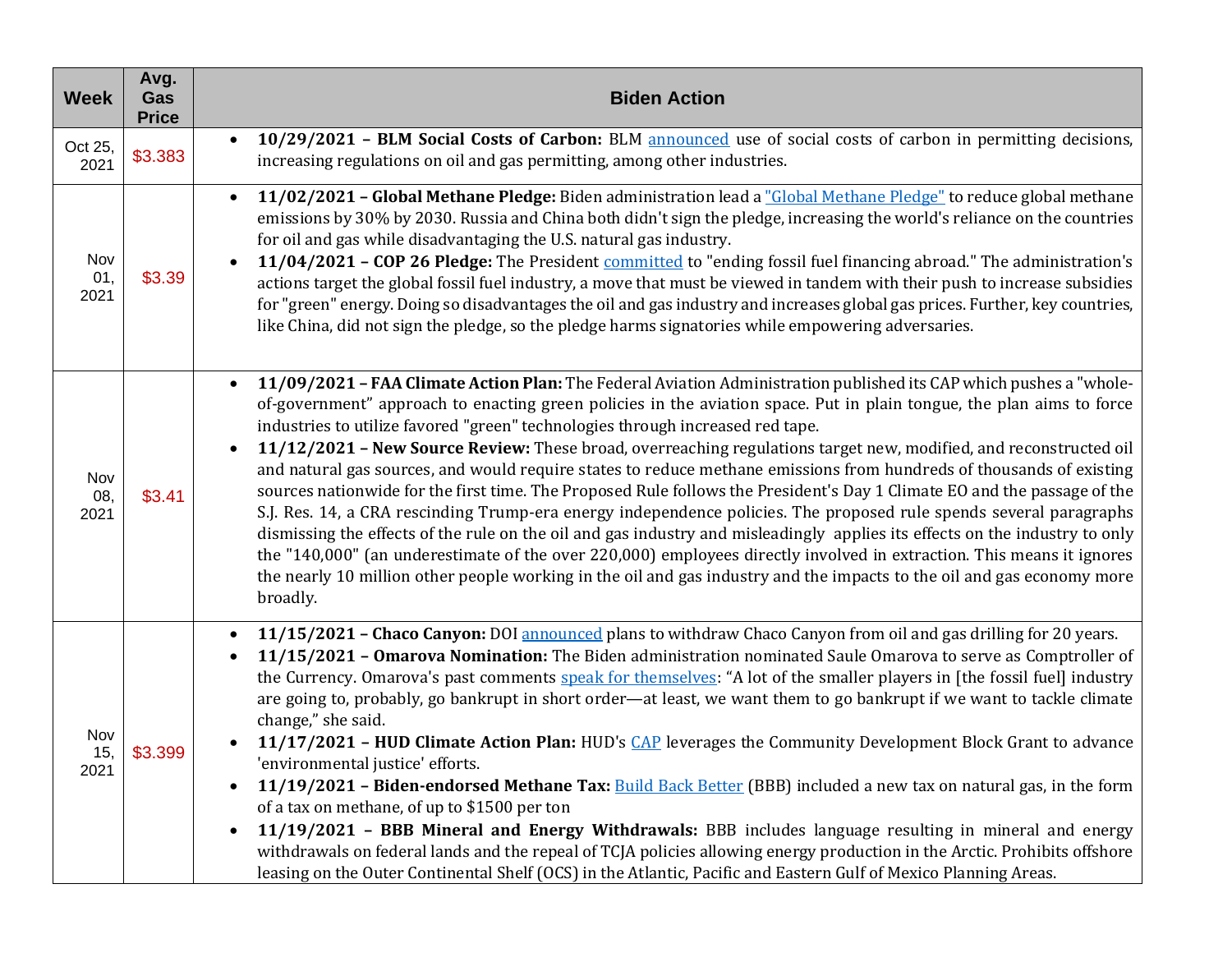| <b>Week</b>        | Avg.<br>Gas<br><b>Price</b> | <b>Biden Action</b>                                                                                                                                                                                                                                                                                                                                                                                                                                                                                                                                                                                                                                                                                                                                                                                                                                                                                                                                                                                                                                                                                                                                                                                                        |
|--------------------|-----------------------------|----------------------------------------------------------------------------------------------------------------------------------------------------------------------------------------------------------------------------------------------------------------------------------------------------------------------------------------------------------------------------------------------------------------------------------------------------------------------------------------------------------------------------------------------------------------------------------------------------------------------------------------------------------------------------------------------------------------------------------------------------------------------------------------------------------------------------------------------------------------------------------------------------------------------------------------------------------------------------------------------------------------------------------------------------------------------------------------------------------------------------------------------------------------------------------------------------------------------------|
| Oct 25,<br>2021    | \$3.383                     | 10/29/2021 - BLM Social Costs of Carbon: BLM announced use of social costs of carbon in permitting decisions,<br>$\bullet$<br>increasing regulations on oil and gas permitting, among other industries.                                                                                                                                                                                                                                                                                                                                                                                                                                                                                                                                                                                                                                                                                                                                                                                                                                                                                                                                                                                                                    |
| Nov<br>01,<br>2021 | \$3.39                      | 11/02/2021 - Global Methane Pledge: Biden administration lead a "Global Methane Pledge" to reduce global methane<br>emissions by 30% by 2030. Russia and China both didn't sign the pledge, increasing the world's reliance on the countries<br>for oil and gas while disadvantaging the U.S. natural gas industry.<br>11/04/2021 - COP 26 Pledge: The President committed to "ending fossil fuel financing abroad." The administration's<br>actions target the global fossil fuel industry, a move that must be viewed in tandem with their push to increase subsidies<br>for "green" energy. Doing so disadvantages the oil and gas industry and increases global gas prices. Further, key countries,<br>like China, did not sign the pledge, so the pledge harms signatories while empowering adversaries.                                                                                                                                                                                                                                                                                                                                                                                                              |
| Nov<br>08,<br>2021 | \$3.41                      | 11/09/2021 - FAA Climate Action Plan: The Federal Aviation Administration published its CAP which pushes a "whole-<br>of-government" approach to enacting green policies in the aviation space. Put in plain tongue, the plan aims to force<br>industries to utilize favored "green" technologies through increased red tape.<br>11/12/2021 - New Source Review: These broad, overreaching regulations target new, modified, and reconstructed oil<br>and natural gas sources, and would require states to reduce methane emissions from hundreds of thousands of existing<br>sources nationwide for the first time. The Proposed Rule follows the President's Day 1 Climate EO and the passage of the<br>S.J. Res. 14, a CRA rescinding Trump-era energy independence policies. The proposed rule spends several paragraphs<br>dismissing the effects of the rule on the oil and gas industry and misleadingly applies its effects on the industry to only<br>the "140,000" (an underestimate of the over 220,000) employees directly involved in extraction. This means it ignores<br>the nearly 10 million other people working in the oil and gas industry and the impacts to the oil and gas economy more<br>broadly. |
| Nov<br>15,<br>2021 | \$3.399                     | 11/15/2021 - Chaco Canyon: DOI announced plans to withdraw Chaco Canyon from oil and gas drilling for 20 years.<br>11/15/2021 - Omarova Nomination: The Biden administration nominated Saule Omarova to serve as Comptroller of<br>the Currency. Omarova's past comments speak for themselves: "A lot of the smaller players in [the fossil fuel] industry<br>are going to, probably, go bankrupt in short order-at least, we want them to go bankrupt if we want to tackle climate<br>change," she said.<br>11/17/2021 - HUD Climate Action Plan: HUD's CAP leverages the Community Development Block Grant to advance<br>'environmental justice' efforts.<br>11/19/2021 - Biden-endorsed Methane Tax: <b>Build Back Better</b> (BBB) included a new tax on natural gas, in the form<br>of a tax on methane, of up to \$1500 per ton<br>11/19/2021 - BBB Mineral and Energy Withdrawals: BBB includes language resulting in mineral and energy<br>withdrawals on federal lands and the repeal of TCJA policies allowing energy production in the Arctic. Prohibits offshore<br>leasing on the Outer Continental Shelf (OCS) in the Atlantic, Pacific and Eastern Gulf of Mexico Planning Areas.                           |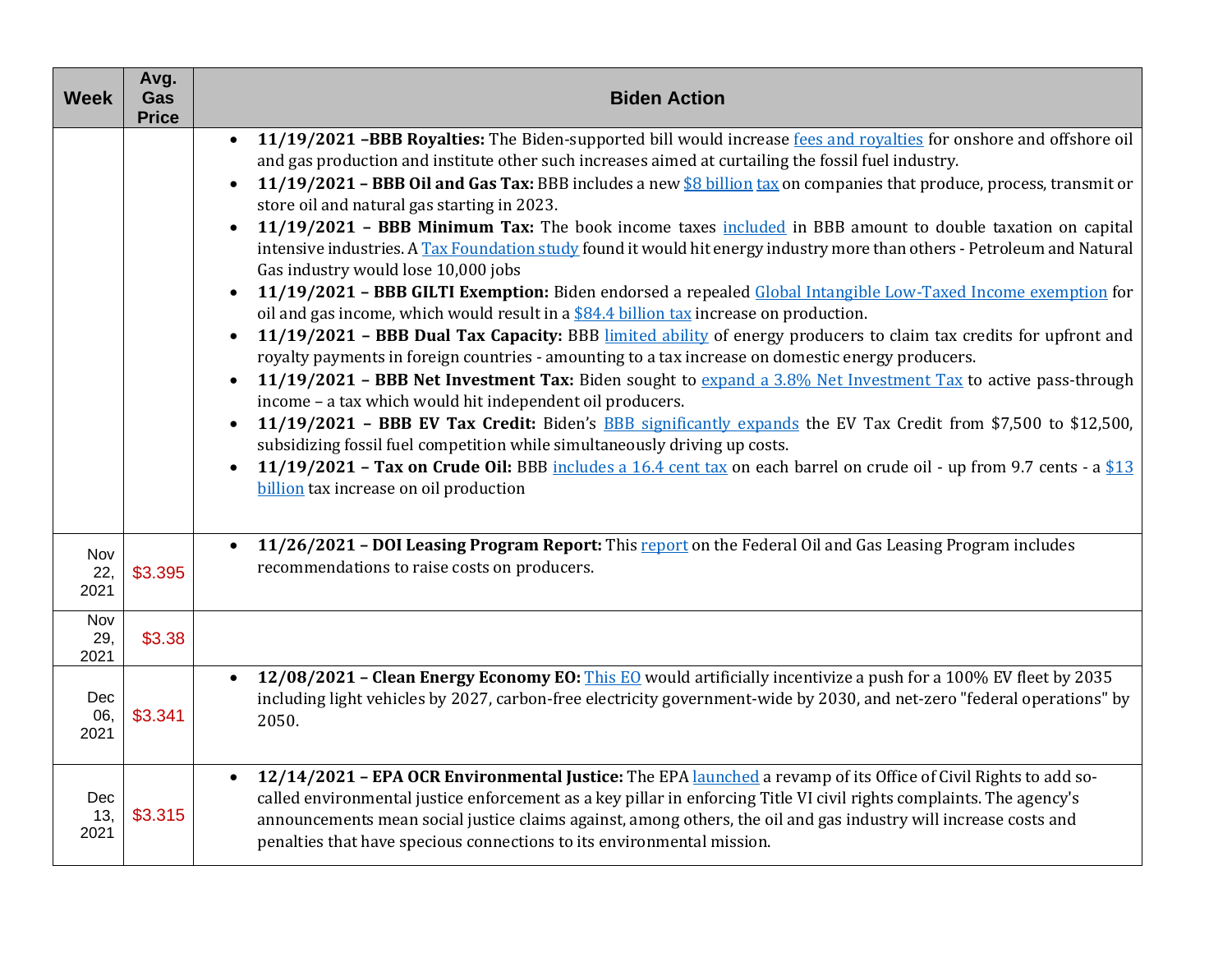| <b>Week</b>        | Avg.<br>Gas<br><b>Price</b> | <b>Biden Action</b>                                                                                                                                                                                                                                                                                                                                                                                                                                                                                                                                                                                                                                                                                                                                                                                                                                                                                                                                                                                                                                                                                                                                                                                                                                                                                                                                                                                                                                                                                                                                                                                                                                                                                                       |
|--------------------|-----------------------------|---------------------------------------------------------------------------------------------------------------------------------------------------------------------------------------------------------------------------------------------------------------------------------------------------------------------------------------------------------------------------------------------------------------------------------------------------------------------------------------------------------------------------------------------------------------------------------------------------------------------------------------------------------------------------------------------------------------------------------------------------------------------------------------------------------------------------------------------------------------------------------------------------------------------------------------------------------------------------------------------------------------------------------------------------------------------------------------------------------------------------------------------------------------------------------------------------------------------------------------------------------------------------------------------------------------------------------------------------------------------------------------------------------------------------------------------------------------------------------------------------------------------------------------------------------------------------------------------------------------------------------------------------------------------------------------------------------------------------|
|                    |                             | 11/19/2021 -BBB Royalties: The Biden-supported bill would increase fees and royalties for onshore and offshore oil<br>and gas production and institute other such increases aimed at curtailing the fossil fuel industry.<br>11/19/2021 - BBB Oil and Gas Tax: BBB includes a new \$8 billion tax on companies that produce, process, transmit or<br>store oil and natural gas starting in 2023.<br>11/19/2021 - BBB Minimum Tax: The book income taxes <i>included</i> in BBB amount to double taxation on capital<br>intensive industries. A Tax Foundation study found it would hit energy industry more than others - Petroleum and Natural<br>Gas industry would lose 10,000 jobs<br>11/19/2021 - BBB GILTI Exemption: Biden endorsed a repealed Global Intangible Low-Taxed Income exemption for<br>oil and gas income, which would result in a $$84.4$ billion tax increase on production.<br>11/19/2021 - BBB Dual Tax Capacity: BBB limited ability of energy producers to claim tax credits for upfront and<br>royalty payments in foreign countries - amounting to a tax increase on domestic energy producers.<br>11/19/2021 - BBB Net Investment Tax: Biden sought to expand a 3.8% Net Investment Tax to active pass-through<br>$\bullet$<br>income - a tax which would hit independent oil producers.<br>11/19/2021 - BBB EV Tax Credit: Biden's <b>BBB</b> significantly expands the EV Tax Credit from \$7,500 to \$12,500,<br>$\bullet$<br>subsidizing fossil fuel competition while simultaneously driving up costs.<br>11/19/2021 - Tax on Crude Oil: BBB includes a $16.4$ cent tax on each barrel on crude oil - up from 9.7 cents - a $$13$<br>$\bullet$<br>billion tax increase on oil production |
| Nov<br>22,<br>2021 | \$3.395                     | 11/26/2021 - DOI Leasing Program Report: This report on the Federal Oil and Gas Leasing Program includes<br>recommendations to raise costs on producers.                                                                                                                                                                                                                                                                                                                                                                                                                                                                                                                                                                                                                                                                                                                                                                                                                                                                                                                                                                                                                                                                                                                                                                                                                                                                                                                                                                                                                                                                                                                                                                  |
| Nov<br>29,<br>2021 | \$3.38                      |                                                                                                                                                                                                                                                                                                                                                                                                                                                                                                                                                                                                                                                                                                                                                                                                                                                                                                                                                                                                                                                                                                                                                                                                                                                                                                                                                                                                                                                                                                                                                                                                                                                                                                                           |
| Dec<br>06,<br>2021 | \$3.341                     | 12/08/2021 - Clean Energy Economy EO: This EO would artificially incentivize a push for a 100% EV fleet by 2035<br>$\bullet$<br>including light vehicles by 2027, carbon-free electricity government-wide by 2030, and net-zero "federal operations" by<br>2050.                                                                                                                                                                                                                                                                                                                                                                                                                                                                                                                                                                                                                                                                                                                                                                                                                                                                                                                                                                                                                                                                                                                                                                                                                                                                                                                                                                                                                                                          |
| Dec<br>13,<br>2021 | \$3.315                     | 12/14/2021 - EPA OCR Environmental Justice: The EPA launched a revamp of its Office of Civil Rights to add so-<br>$\bullet$<br>called environmental justice enforcement as a key pillar in enforcing Title VI civil rights complaints. The agency's<br>announcements mean social justice claims against, among others, the oil and gas industry will increase costs and<br>penalties that have specious connections to its environmental mission.                                                                                                                                                                                                                                                                                                                                                                                                                                                                                                                                                                                                                                                                                                                                                                                                                                                                                                                                                                                                                                                                                                                                                                                                                                                                         |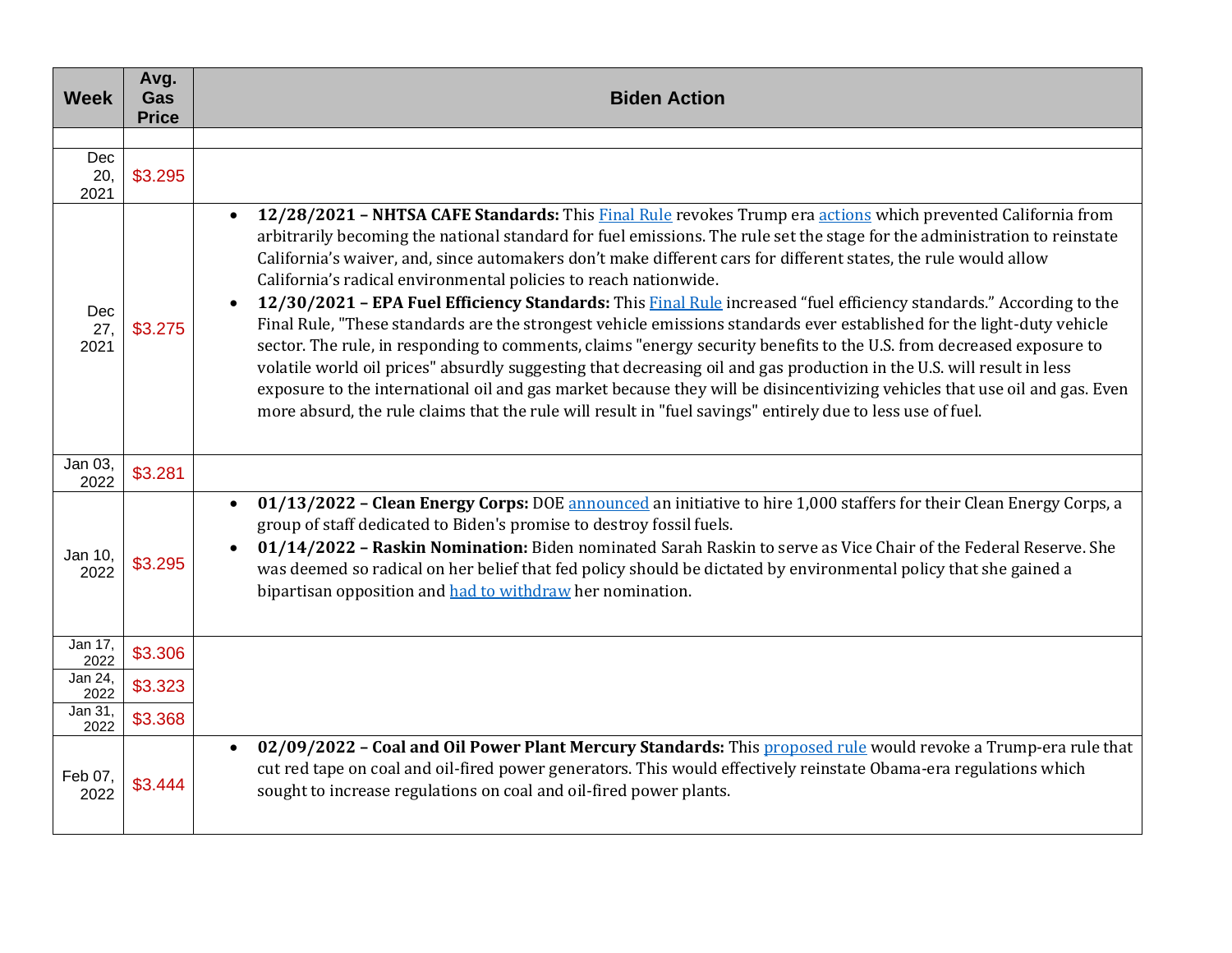| <b>Week</b>               | Avg.<br>Gas<br><b>Price</b> | <b>Biden Action</b>                                                                                                                                                                                                                                                                                                                                                                                                                                                                                                                                                                                                                                                                                                                                                                                                                                                                                                                                                                                                                                                                                                                                                                         |
|---------------------------|-----------------------------|---------------------------------------------------------------------------------------------------------------------------------------------------------------------------------------------------------------------------------------------------------------------------------------------------------------------------------------------------------------------------------------------------------------------------------------------------------------------------------------------------------------------------------------------------------------------------------------------------------------------------------------------------------------------------------------------------------------------------------------------------------------------------------------------------------------------------------------------------------------------------------------------------------------------------------------------------------------------------------------------------------------------------------------------------------------------------------------------------------------------------------------------------------------------------------------------|
|                           |                             |                                                                                                                                                                                                                                                                                                                                                                                                                                                                                                                                                                                                                                                                                                                                                                                                                                                                                                                                                                                                                                                                                                                                                                                             |
| <b>Dec</b><br>20,<br>2021 | \$3.295                     |                                                                                                                                                                                                                                                                                                                                                                                                                                                                                                                                                                                                                                                                                                                                                                                                                                                                                                                                                                                                                                                                                                                                                                                             |
| Dec<br>27,<br>2021        | \$3.275                     | 12/28/2021 - NHTSA CAFE Standards: This Final Rule revokes Trump era actions which prevented California from<br>$\bullet$<br>arbitrarily becoming the national standard for fuel emissions. The rule set the stage for the administration to reinstate<br>California's waiver, and, since automakers don't make different cars for different states, the rule would allow<br>California's radical environmental policies to reach nationwide.<br>12/30/2021 - EPA Fuel Efficiency Standards: This Final Rule increased "fuel efficiency standards." According to the<br>Final Rule, "These standards are the strongest vehicle emissions standards ever established for the light-duty vehicle<br>sector. The rule, in responding to comments, claims "energy security benefits to the U.S. from decreased exposure to<br>volatile world oil prices" absurdly suggesting that decreasing oil and gas production in the U.S. will result in less<br>exposure to the international oil and gas market because they will be disincentivizing vehicles that use oil and gas. Even<br>more absurd, the rule claims that the rule will result in "fuel savings" entirely due to less use of fuel. |
| Jan 03,<br>2022           | \$3.281                     |                                                                                                                                                                                                                                                                                                                                                                                                                                                                                                                                                                                                                                                                                                                                                                                                                                                                                                                                                                                                                                                                                                                                                                                             |
| Jan 10,<br>2022           | \$3.295                     | 01/13/2022 - Clean Energy Corps: DOE announced an initiative to hire 1,000 staffers for their Clean Energy Corps, a<br>$\bullet$<br>group of staff dedicated to Biden's promise to destroy fossil fuels.<br>01/14/2022 - Raskin Nomination: Biden nominated Sarah Raskin to serve as Vice Chair of the Federal Reserve. She<br>was deemed so radical on her belief that fed policy should be dictated by environmental policy that she gained a<br>bipartisan opposition and had to withdraw her nomination.                                                                                                                                                                                                                                                                                                                                                                                                                                                                                                                                                                                                                                                                                |
| Jan 17,<br>2022           | \$3.306                     |                                                                                                                                                                                                                                                                                                                                                                                                                                                                                                                                                                                                                                                                                                                                                                                                                                                                                                                                                                                                                                                                                                                                                                                             |
| Jan 24,<br>2022           | \$3.323                     |                                                                                                                                                                                                                                                                                                                                                                                                                                                                                                                                                                                                                                                                                                                                                                                                                                                                                                                                                                                                                                                                                                                                                                                             |
| Jan 31,<br>2022           | \$3.368                     |                                                                                                                                                                                                                                                                                                                                                                                                                                                                                                                                                                                                                                                                                                                                                                                                                                                                                                                                                                                                                                                                                                                                                                                             |
| Feb 07,<br>2022           | \$3.444                     | 02/09/2022 - Coal and Oil Power Plant Mercury Standards: This proposed rule would revoke a Trump-era rule that<br>$\bullet$<br>cut red tape on coal and oil-fired power generators. This would effectively reinstate Obama-era regulations which<br>sought to increase regulations on coal and oil-fired power plants.                                                                                                                                                                                                                                                                                                                                                                                                                                                                                                                                                                                                                                                                                                                                                                                                                                                                      |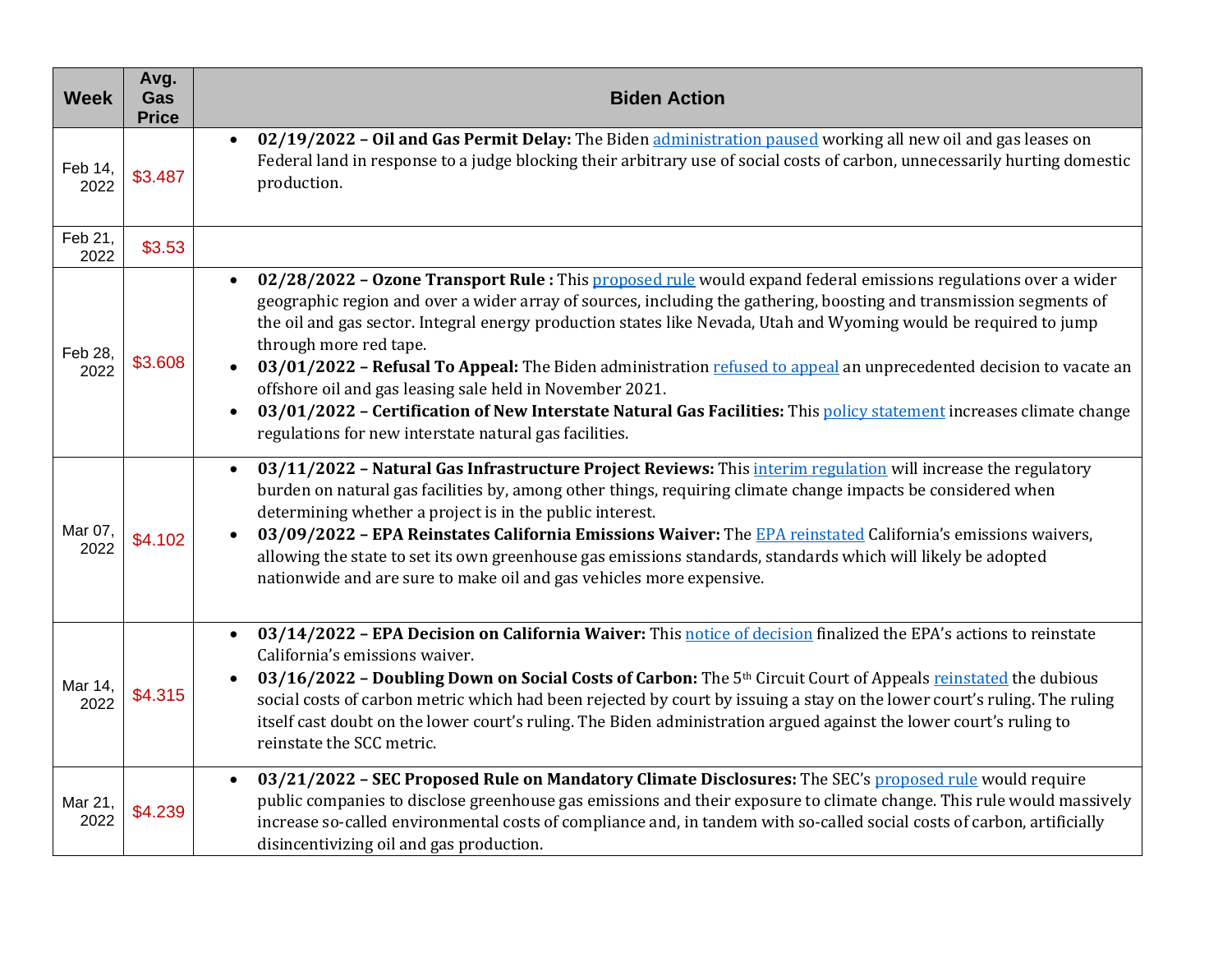| <b>Week</b>     | Avg.<br>Gas<br><b>Price</b> | <b>Biden Action</b>                                                                                                                                                                                                                                                                                                                                                                                                                                                                                                                                                                                                                                                                                                                                    |
|-----------------|-----------------------------|--------------------------------------------------------------------------------------------------------------------------------------------------------------------------------------------------------------------------------------------------------------------------------------------------------------------------------------------------------------------------------------------------------------------------------------------------------------------------------------------------------------------------------------------------------------------------------------------------------------------------------------------------------------------------------------------------------------------------------------------------------|
| Feb 14,<br>2022 | \$3.487                     | 02/19/2022 - Oil and Gas Permit Delay: The Biden administration paused working all new oil and gas leases on<br>$\bullet$<br>Federal land in response to a judge blocking their arbitrary use of social costs of carbon, unnecessarily hurting domestic<br>production.                                                                                                                                                                                                                                                                                                                                                                                                                                                                                 |
| Feb 21,<br>2022 | \$3.53                      |                                                                                                                                                                                                                                                                                                                                                                                                                                                                                                                                                                                                                                                                                                                                                        |
| Feb 28,<br>2022 | \$3.608                     | 02/28/2022 - Ozone Transport Rule : This proposed rule would expand federal emissions regulations over a wider<br>geographic region and over a wider array of sources, including the gathering, boosting and transmission segments of<br>the oil and gas sector. Integral energy production states like Nevada, Utah and Wyoming would be required to jump<br>through more red tape.<br>03/01/2022 - Refusal To Appeal: The Biden administration refused to appeal an unprecedented decision to vacate an<br>offshore oil and gas leasing sale held in November 2021.<br>03/01/2022 - Certification of New Interstate Natural Gas Facilities: This policy statement increases climate change<br>regulations for new interstate natural gas facilities. |
| Mar 07,<br>2022 | \$4.102                     | 03/11/2022 - Natural Gas Infrastructure Project Reviews: This <i>interim regulation</i> will increase the regulatory<br>$\bullet$<br>burden on natural gas facilities by, among other things, requiring climate change impacts be considered when<br>determining whether a project is in the public interest.<br>03/09/2022 - EPA Reinstates California Emissions Waiver: The EPA reinstated California's emissions waivers,<br>allowing the state to set its own greenhouse gas emissions standards, standards which will likely be adopted<br>nationwide and are sure to make oil and gas vehicles more expensive.                                                                                                                                   |
| Mar 14,<br>2022 | \$4.315                     | 03/14/2022 - EPA Decision on California Waiver: This notice of decision finalized the EPA's actions to reinstate<br>$\bullet$<br>California's emissions waiver.<br>03/16/2022 - Doubling Down on Social Costs of Carbon: The 5th Circuit Court of Appeals reinstated the dubious<br>social costs of carbon metric which had been rejected by court by issuing a stay on the lower court's ruling. The ruling<br>itself cast doubt on the lower court's ruling. The Biden administration argued against the lower court's ruling to<br>reinstate the SCC metric.                                                                                                                                                                                        |
| Mar 21,<br>2022 | \$4.239                     | 03/21/2022 - SEC Proposed Rule on Mandatory Climate Disclosures: The SEC's proposed rule would require<br>$\bullet$<br>public companies to disclose greenhouse gas emissions and their exposure to climate change. This rule would massively<br>increase so-called environmental costs of compliance and, in tandem with so-called social costs of carbon, artificially<br>disincentivizing oil and gas production.                                                                                                                                                                                                                                                                                                                                    |